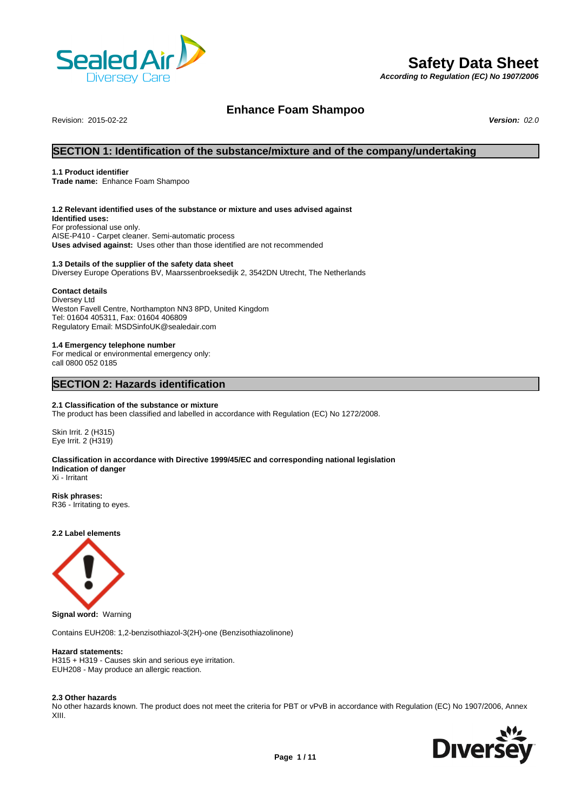

# **Safety Data Sheet**

*According to Regulation (EC) No 1907/2006*

# **Enhance Foam Shampoo**

Revision: 2015-02-22 *Version: 02.0*

# **SECTION 1: Identification of the substance/mixture and of the company/undertaking**

# **1.1 Product identifier**

**Trade name:** Enhance Foam Shampoo

## **1.2 Relevant identified uses of the substance or mixture and uses advised against**

**Identified uses:** For professional use only. AISE-P410 - Carpet cleaner. Semi-automatic process **Uses advised against:** Uses other than those identified are not recommended

# **1.3 Details of the supplier of the safety data sheet**

Diversey Europe Operations BV, Maarssenbroeksedijk 2, 3542DN Utrecht, The Netherlands

# **Contact details**

Diversey Ltd Weston Favell Centre, Northampton NN3 8PD, United Kingdom Tel: 01604 405311, Fax: 01604 406809 Regulatory Email: MSDSinfoUK@sealedair.com

## **1.4 Emergency telephone number**

For medical or environmental emergency only: call 0800 052 0185

# **SECTION 2: Hazards identification**

# **2.1 Classification of the substance or mixture**

The product has been classified and labelled in accordance with Regulation (EC) No 1272/2008.

Skin Irrit. 2 (H315) Eye Irrit. 2 (H319)

### **Classification in accordance with Directive 1999/45/EC and corresponding national legislation Indication of danger** Xi - Irritant

**Risk phrases:** R36 - Irritating to eyes.

**2.2 Label elements**



**Signal word:** Warning

Contains EUH208: 1,2-benzisothiazol-3(2H)-one (Benzisothiazolinone)

## **Hazard statements:**

H315 + H319 - Causes skin and serious eye irritation. EUH208 - May produce an allergic reaction.

### **2.3 Other hazards**

No other hazards known. The product does not meet the criteria for PBT or vPvB in accordance with Regulation (EC) No 1907/2006, Annex XIII.

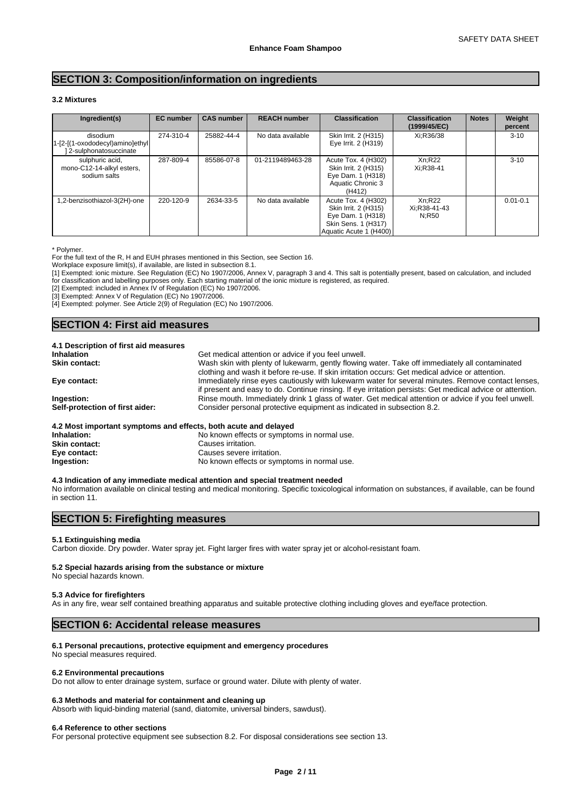# **SECTION 3: Composition/information on ingredients**

# **3.2 Mixtures**

| Ingredient(s)                                                              | <b>EC</b> number | <b>CAS number</b> | <b>REACH number</b> | <b>Classification</b>                                                                                             | <b>Classification</b><br>(1999/45/EC) | <b>Notes</b> | Weight<br>percent |
|----------------------------------------------------------------------------|------------------|-------------------|---------------------|-------------------------------------------------------------------------------------------------------------------|---------------------------------------|--------------|-------------------|
| disodium<br>$1-[2-[1-oxododecyl]$ amino $]$ ethyl<br>2-sulphonatosuccinate | 274-310-4        | 25882-44-4        | No data available   | Skin Irrit. 2 (H315)<br>Eye Irrit. 2 (H319)                                                                       | Xi:R36/38                             |              | $3 - 10$          |
| sulphuric acid,<br>mono-C12-14-alkyl esters,<br>sodium salts               | 287-809-4        | 85586-07-8        | 01-2119489463-28    | Acute Tox. 4 (H302)<br>Skin Irrit. 2 (H315)<br>Eye Dam. 1 (H318)<br>Aquatic Chronic 3<br>(H412)                   | Xn:R22<br>Xi:R38-41                   |              | $3 - 10$          |
| 1,2-benzisothiazol-3(2H)-one                                               | 220-120-9        | 2634-33-5         | No data available   | Acute Tox. 4 (H302)<br>Skin Irrit. 2 (H315)<br>Eye Dam. 1 (H318)<br>Skin Sens. 1 (H317)<br>Aquatic Acute 1 (H400) | Xn:R22<br>Xi:R38-41-43<br>N:R50       |              | $0.01 - 0.1$      |

\* Polymer.

For the full text of the R, H and EUH phrases mentioned in this Section, see Section 16.

Workplace exposure limit(s), if available, are listed in subsection 8.1.

[1] Exempted: ionic mixture. See Regulation (EC) No 1907/2006, Annex V, paragraph 3 and 4. This salt is potentially present, based on calculation, and included for classification and labelling purposes only. Each starting material of the ionic mixture is registered, as required.

[2] Exempted: included in Annex IV of Regulation (EC) No 1907/2006.

[3] Exempted: Annex V of Regulation (EC) No 1907/2006.

[4] Exempted: polymer. See Article 2(9) of Regulation (EC) No 1907/2006.

# **SECTION 4: First aid measures**

| Get medical attention or advice if you feel unwell.                                                       |
|-----------------------------------------------------------------------------------------------------------|
| Wash skin with plenty of lukewarm, gently flowing water. Take off immediately all contaminated            |
| clothing and wash it before re-use. If skin irritation occurs: Get medical advice or attention.           |
| Immediately rinse eyes cautiously with lukewarm water for several minutes. Remove contact lenses,         |
| if present and easy to do. Continue rinsing. If eye irritation persists: Get medical advice or attention. |
| Rinse mouth. Immediately drink 1 glass of water. Get medical attention or advice if you feel unwell.      |
| Consider personal protective equipment as indicated in subsection 8.2.                                    |
|                                                                                                           |

## **4.2 Most important symptoms and effects, both acute and delayed**

**Inhalation:** No known effects or symptoms in normal use.<br>
Skin contact: Causes irritation. **Causes irritation. Eye contact:** Causes severe irritation. **Ingestion:** No known effects or symptoms in normal use.

**4.3 Indication of any immediate medical attention and special treatment needed** No information available on clinical testing and medical monitoring. Specific toxicological information on substances, if available, can be found in section 11.

# **SECTION 5: Firefighting measures**

### **5.1 Extinguishing media**

Carbon dioxide. Dry powder. Water spray jet. Fight larger fires with water spray jet or alcohol-resistant foam.

# **5.2 Special hazards arising from the substance or mixture**

No special hazards known.

# **5.3 Advice for firefighters**

As in any fire, wear self contained breathing apparatus and suitable protective clothing including gloves and eve/face protection.

# **SECTION 6: Accidental release measures**

### **6.1 Personal precautions, protective equipment and emergency procedures**

No special measures required.

### **6.2 Environmental precautions**

Do not allow to enter drainage system, surface or ground water. Dilute with plenty of water.

# **6.3 Methods and material for containment and cleaning up**

Absorb with liquid-binding material (sand, diatomite, universal binders, sawdust).

### **6.4 Reference to other sections**

For personal protective equipment see subsection 8.2. For disposal considerations see section 13.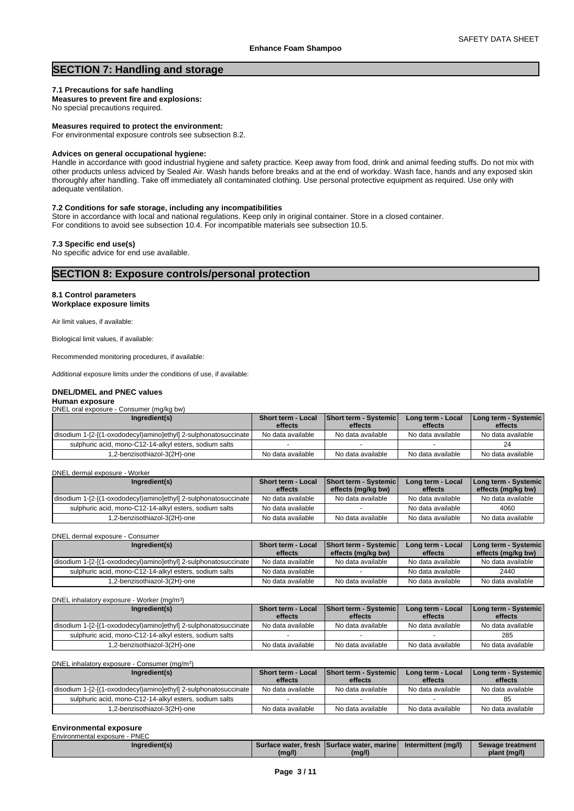# **SECTION 7: Handling and storage**

# **7.1 Precautions for safe handling**

**Measures to prevent fire and explosions:** No special precautions required.

# **Measures required to protect the environment:**

For environmental exposure controls see subsection 8.2.

# **Advices on general occupational hygiene:**

Handle in accordance with good industrial hygiene and safety practice. Keep away from food, drink and animal feeding stuffs. Do not mix with other products unless adviced by Sealed Air. Wash hands before breaks and at the end of workday. Wash face, hands and any exposed skin thoroughly after handling. Take off immediately all contaminated clothing. Use personal protective equipment as required. Use only with adequate ventilation.

# **7.2 Conditions for safe storage, including any incompatibilities**

Store in accordance with local and national regulations. Keep only in original container. Store in a closed container. For conditions to avoid see subsection 10.4. For incompatible materials see subsection 10.5.

**7.3 Specific end use(s)**

No specific advice for end use available.

# **SECTION 8: Exposure controls/personal protection**

## **8.1 Control parameters Workplace exposure limits**

Air limit values, if available:

Biological limit values, if available:

Recommended monitoring procedures, if available:

Additional exposure limits under the conditions of use, if available:

# **DNEL/DMEL and PNEC values**

| Human exposure                           |  |
|------------------------------------------|--|
| DNEL oral exposure - Consumer (mg/kg bw) |  |
|                                          |  |

| Ingredient(s)                                                   | <b>Short term - Local</b><br>effects | Short term - Systemic<br>effects | Long term - Local<br>effects | <b>I Long term - Systemic</b><br>effects |
|-----------------------------------------------------------------|--------------------------------------|----------------------------------|------------------------------|------------------------------------------|
| disodium 1-[2-[(1-oxododecyl)amino]ethyl] 2-sulphonatosuccinate | No data available                    | No data available                | No data available            | No data available                        |
| sulphuric acid, mono-C12-14-alkyl esters, sodium salts          |                                      |                                  |                              |                                          |
| 1,2-benzisothiazol-3(2H)-one                                    | No data available                    | No data available                | No data available            | No data available                        |

### DNEL dermal exposure - Worker

| Ingredient(s)                                                   | Short term - Local | Short term - Systemic | Long term - Local | Long term - Systemic |
|-----------------------------------------------------------------|--------------------|-----------------------|-------------------|----------------------|
|                                                                 | effects            | effects (mg/kg bw)    | effects           | effects (mg/kg bw)   |
| disodium 1-[2-[(1-oxododecyl)amino]ethyl] 2-sulphonatosuccinate | No data available  | No data available     | No data available | No data available    |
| sulphuric acid, mono-C12-14-alkyl esters, sodium salts          | No data available  |                       | No data available | 4060                 |
| 1.2-benzisothiazol-3(2H)-one                                    | No data available  | No data available     | No data available | No data available    |

### DNEL dermal exposure - Consumer

| Ingredient(s)                                                   | <b>Short term - Local</b><br>effects | <b>Short term - Systemic</b><br>effects (mg/kg bw) | Long term - Local<br>effects | Long term - Systemic  <br>effects (mg/kg bw) |
|-----------------------------------------------------------------|--------------------------------------|----------------------------------------------------|------------------------------|----------------------------------------------|
| disodium 1-[2-[(1-oxododecyl)amino]ethyl] 2-sulphonatosuccinate | No data available                    | No data available                                  | No data available            | No data available                            |
| sulphuric acid, mono-C12-14-alkyl esters, sodium salts          | No data available                    |                                                    | No data available            | 2440                                         |
| .2-benzisothiazol-3(2H)-one                                     | No data available                    | No data available                                  | No data available            | No data available                            |

DNEL inhalatory exposure - Worker (mg/m<sup>3</sup> )

| Ingredient(s)                                                   | <b>Short term - Local</b><br>effects | <b>Short term - Systemic</b><br>effects | Long term - Local<br>effects | Long term - Systemic  <br>effects |
|-----------------------------------------------------------------|--------------------------------------|-----------------------------------------|------------------------------|-----------------------------------|
| disodium 1-[2-[(1-oxododecyl)amino]ethyl] 2-sulphonatosuccinate | No data available                    | No data available                       | No data available            | No data available                 |
| sulphuric acid, mono-C12-14-alkyl esters, sodium salts          |                                      |                                         |                              | 285                               |
| -2-benzisothiazol-3(2H)-one.                                    | No data available                    | No data available                       | No data available            | No data available                 |

DNEL inhalatory exposure - Consumer (mg/m<sup>3</sup>

| DNEL inhalatory exposure - Consumer (mg/m <sup>3</sup> )        |                               |                                         |                              |                                   |
|-----------------------------------------------------------------|-------------------------------|-----------------------------------------|------------------------------|-----------------------------------|
| Ingredient(s)                                                   | Short term - Local<br>effects | <b>Short term - Systemic</b><br>effects | Long term - Local<br>effects | Long term - Systemic  <br>effects |
| disodium 1-[2-[(1-oxododecyl)amino]ethyl] 2-sulphonatosuccinate | No data available             | No data available                       | No data available            | No data available                 |
| sulphuric acid, mono-C12-14-alkyl esters, sodium salts          |                               |                                         |                              |                                   |
| 1,2-benzisothiazol-3(2H)-one                                    | No data available             | No data available                       | No data available            | No data available                 |

# **Environmental exposure**

| Environmental exposure - PNEC |        |                                            |                     |                  |
|-------------------------------|--------|--------------------------------------------|---------------------|------------------|
| Ingredient(s)                 |        | Surface water, fresh Surface water, marine | Intermittent (mg/l) | Sewage treatment |
|                               | (mg/l) | (mg/l)                                     |                     | plant (mg/l)     |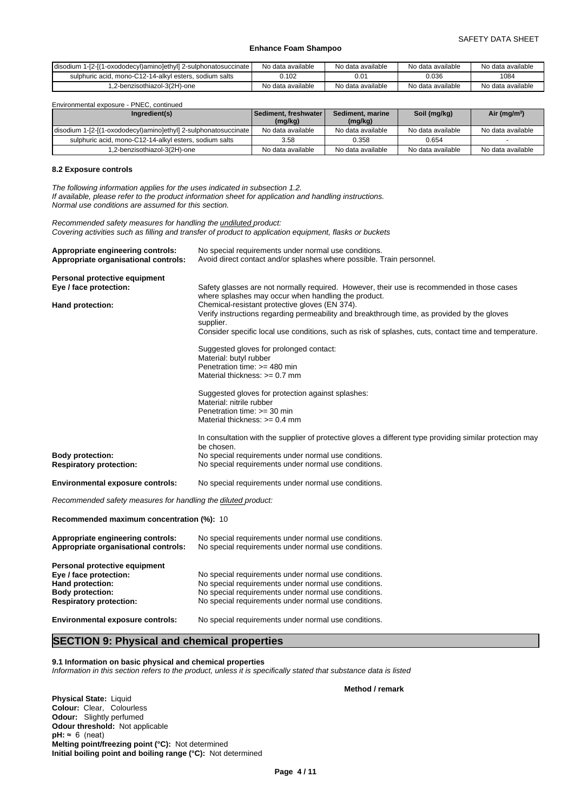| disodium<br><sub>1</sub> -[2-[(1<br>(1-oxododecyl)amino]ethyl] 2-sulphonatosuccinate / | No data available | No data available | No data available | No data available |
|----------------------------------------------------------------------------------------|-------------------|-------------------|-------------------|-------------------|
| sulphuric acid. mono-C12-14-alkyl esters, sodium salts                                 | 0.102             | 0.01              | 0.036             | 1084              |
| 1.2-benzisothiazol-3(2H)-one                                                           | No data available | No data available | No data available | No data available |

Environmental exposure - PNEC, continued

| Ingredient(s)                                                   | Sediment. freshwater | Sediment, marine  | Soil (mg/kg)      | Air ( $mg/m3$ )   |
|-----------------------------------------------------------------|----------------------|-------------------|-------------------|-------------------|
|                                                                 | (mg/kg)              | (mg/kg)           |                   |                   |
| disodium 1-[2-[(1-oxododecyl)amino]ethyl] 2-sulphonatosuccinate | No data available    | No data available | No data available | No data available |
| sulphuric acid, mono-C12-14-alkyl esters, sodium salts          | 3.58                 | 0.358             | 0.654             |                   |
| 1,2-benzisothiazol-3(2H)-one                                    | No data available    | No data available | No data available | No data available |

### **8.2 Exposure controls**

*The following information applies for the uses indicated in subsection 1.2.*

*If available, please refer to the product information sheet for application and handling instructions. Normal use conditions are assumed for this section.*

*Recommended safety measures for handling the undiluted product: Covering activities such as filling and transfer of product to application equipment, flasks or buckets*

| Appropriate engineering controls:                             | No special requirements under normal use conditions.                                                                                              |
|---------------------------------------------------------------|---------------------------------------------------------------------------------------------------------------------------------------------------|
| Appropriate organisational controls:                          | Avoid direct contact and/or splashes where possible. Train personnel.                                                                             |
| Personal protective equipment                                 |                                                                                                                                                   |
| Eye / face protection:                                        | Safety glasses are not normally required. However, their use is recommended in those cases<br>where splashes may occur when handling the product. |
| Hand protection:                                              | Chemical-resistant protective gloves (EN 374).                                                                                                    |
|                                                               | Verify instructions regarding permeability and breakthrough time, as provided by the gloves                                                       |
|                                                               | supplier.                                                                                                                                         |
|                                                               | Consider specific local use conditions, such as risk of splashes, cuts, contact time and temperature.                                             |
|                                                               | Suggested gloves for prolonged contact:                                                                                                           |
|                                                               | Material: butyl rubber                                                                                                                            |
|                                                               | Penetration time: >= 480 min                                                                                                                      |
|                                                               | Material thickness: $>= 0.7$ mm                                                                                                                   |
|                                                               | Suggested gloves for protection against splashes:                                                                                                 |
|                                                               | Material: nitrile rubber                                                                                                                          |
|                                                               | Penetration time: $>=$ 30 min                                                                                                                     |
|                                                               | Material thickness: $>= 0.4$ mm                                                                                                                   |
|                                                               | In consultation with the supplier of protective gloves a different type providing similar protection may                                          |
|                                                               | be chosen.                                                                                                                                        |
| <b>Body protection:</b>                                       | No special requirements under normal use conditions.                                                                                              |
| <b>Respiratory protection:</b>                                | No special requirements under normal use conditions.                                                                                              |
| <b>Environmental exposure controls:</b>                       | No special requirements under normal use conditions.                                                                                              |
| Recommended safety measures for handling the diluted product: |                                                                                                                                                   |
| Recommended maximum concentration (%): 10                     |                                                                                                                                                   |
| Appropriate engineering controls:                             | No special requirements under normal use conditions.                                                                                              |
| Appropriate organisational controls:                          | No special requirements under normal use conditions.                                                                                              |
|                                                               |                                                                                                                                                   |
| Personal protective equipment                                 |                                                                                                                                                   |
| Eye / face protection:                                        | No special requirements under normal use conditions.                                                                                              |
| <b>Hand protection:</b>                                       | No special requirements under normal use conditions.                                                                                              |

**Environmental exposure controls:** No special requirements under normal use conditions.

# **SECTION 9: Physical and chemical properties**

**9.1 Information on basic physical and chemical properties**

*Information in this section refers to the product, unless it is specifically stated that substance data is listed*

**Body protection: No special requirements under normal use conditions.**<br>**Respiratory protection: No special requirements under normal use conditions.** 

**Method / remark**

**Physical State:** Liquid **Colour:** Clear, Colourless **Odour:** Slightly perfumed **Odour threshold:** Not applicable  $pH: \approx 6$  (neat) **Melting point/freezing point (°C):** Not determined **Initial boiling point and boiling range (°C):** Not determined

**Respiratory protection:** No special requirements under normal use conditions.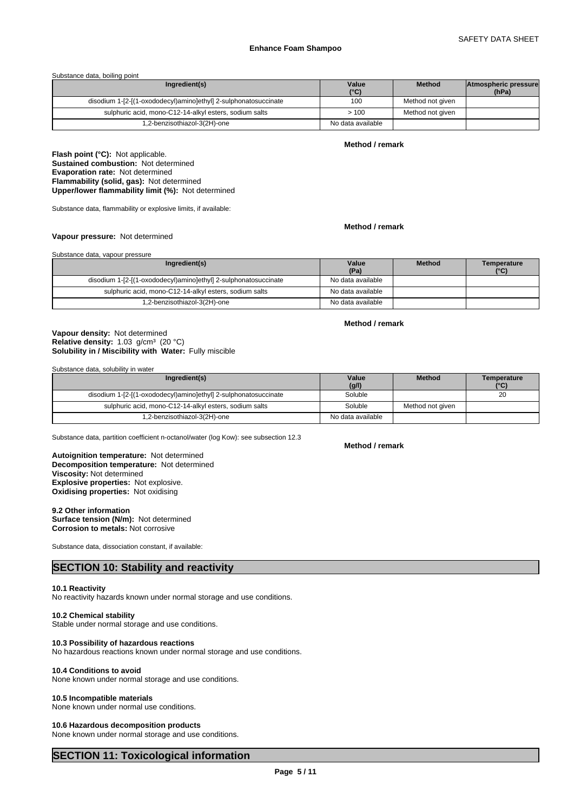### Substance data, boiling point

| Ingredient(s)                                                   | Value<br>$(^{\circ}C)$ | <b>Method</b>    | Atmospheric pressure<br>(hPa) |  |
|-----------------------------------------------------------------|------------------------|------------------|-------------------------------|--|
| disodium 1-[2-[(1-oxododecyl)amino]ethyl] 2-sulphonatosuccinate | 100                    | Method not given |                               |  |
| sulphuric acid, mono-C12-14-alkyl esters, sodium salts          | >100                   | Method not given |                               |  |
| 1,2-benzisothiazol-3(2H)-one                                    | No data available      |                  |                               |  |

# **Method / remark**

**Flash point (°C):** Not applicable. **Sustained combustion:** Not determined **Evaporation rate:** Not determined **Flammability (solid, gas):** Not determined **Upper/lower flammability limit (%):** Not determined

Substance data, flammability or explosive limits, if available:

### **Method / remark**

**Method / remark**

# **Vapour pressure:** Not determined

| Substance data, vapour pressure                                 |                   |               |                     |
|-----------------------------------------------------------------|-------------------|---------------|---------------------|
| Ingredient(s)                                                   | Value<br>(Pa)     | <b>Method</b> | Temperature<br>(°C) |
| disodium 1-[2-[(1-oxododecyl)amino]ethyl] 2-sulphonatosuccinate | No data available |               |                     |
| sulphuric acid, mono-C12-14-alkyl esters, sodium salts          | No data available |               |                     |
| 1,2-benzisothiazol-3(2H)-one                                    | No data available |               |                     |

# **Solubility in / Miscibility with Water:** Fully miscible **Vapour density:** Not determined Relative density: 1.03 g/cm<sup>3</sup> (20 °C)

Substance data, solubility in water

| Ingredient(s)                                                   | Value             | <b>Method</b>    | Temperature |
|-----------------------------------------------------------------|-------------------|------------------|-------------|
|                                                                 | (g/l)             |                  | (°C)        |
| disodium 1-[2-[(1-oxododecyl)amino]ethyl] 2-sulphonatosuccinate | Soluble           |                  | 20          |
| sulphuric acid, mono-C12-14-alkyl esters, sodium salts          | Soluble           | Method not aiven |             |
| 1,2-benzisothiazol-3(2H)-one                                    | No data available |                  |             |

Substance data, partition coefficient n-octanol/water (log Kow): see subsection 12.3

**Decomposition temperature:** Not determined **Autoignition temperature:** Not determined **Viscosity:** Not determined **Explosive properties:** Not explosive. **Oxidising properties:** Not oxidising

# **9.2 Other information**

**Surface tension (N/m):** Not determined **Corrosion to metals:** Not corrosive

Substance data, dissociation constant, if available:

# **SECTION 10: Stability and reactivity**

### **10.1 Reactivity**

No reactivity hazards known under normal storage and use conditions.

# **10.2 Chemical stability**

Stable under normal storage and use conditions.

# **10.3 Possibility of hazardous reactions**

No hazardous reactions known under normal storage and use conditions.

# **10.4 Conditions to avoid**

None known under normal storage and use conditions.

### **10.5 Incompatible materials**

None known under normal use conditions.

### **10.6 Hazardous decomposition products**

None known under normal storage and use conditions.

# **SECTION 11: Toxicological information**

**Method / remark**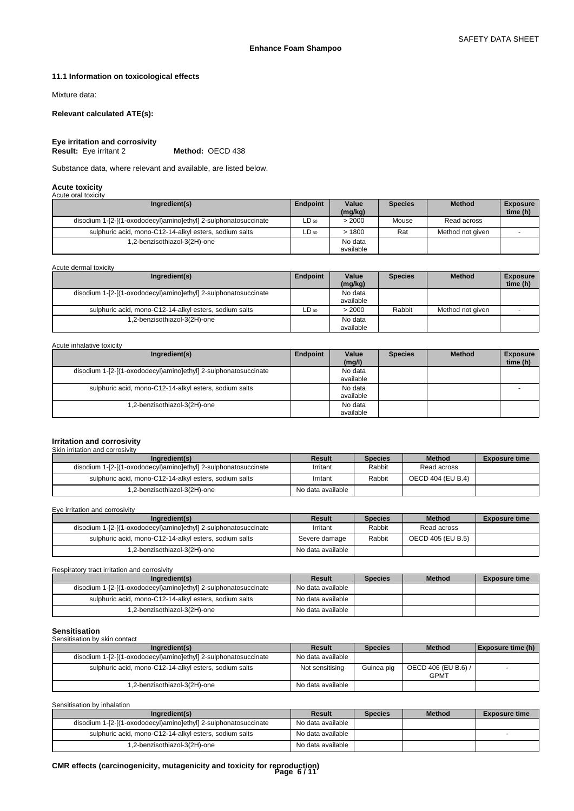# **11.1 Information on toxicological effects**

Mixture data:

# **Relevant calculated ATE(s):**

**Eye irritation and corrosivity Result:** Eye irritant 2

Substance data, where relevant and available, are listed below.

### **Acute toxicity** Acute oral toxi

| $\overline{\phantom{a}}$ , water of an texture                  |                 |                  |                |                  |                             |
|-----------------------------------------------------------------|-----------------|------------------|----------------|------------------|-----------------------------|
| Ingredient(s)                                                   | <b>Endpoint</b> | Value<br>(mg/kg) | <b>Species</b> | <b>Method</b>    | <b>Exposure</b><br>time (h) |
| disodium 1-[2-[(1-oxododecyl)amino]ethyl] 2-sulphonatosuccinate | $LD_{50}$       | > 2000           | Mouse          | Read across      |                             |
| sulphuric acid, mono-C12-14-alkyl esters, sodium salts          | LD 50           | >1800            | Rat            | Method not aiven |                             |
| 1,2-benzisothiazol-3(2H)-one                                    |                 | No data          |                |                  |                             |
|                                                                 |                 | available        |                |                  |                             |

Acute dermal toxicity

| Ingredient(s)                                                   | Endpoint  | Value<br>(mg/kg) | <b>Species</b> | <b>Method</b>    | <b>Exposure</b><br>time (h) |
|-----------------------------------------------------------------|-----------|------------------|----------------|------------------|-----------------------------|
| disodium 1-[2-[(1-oxododecyl)amino]ethyl] 2-sulphonatosuccinate |           | No data          |                |                  |                             |
|                                                                 |           | available        |                |                  |                             |
| sulphuric acid, mono-C12-14-alkyl esters, sodium salts          | $LD_{50}$ | > 2000           | Rabbit         | Method not given |                             |
| 1,2-benzisothiazol-3(2H)-one                                    |           | No data          |                |                  |                             |
|                                                                 |           | available        |                |                  |                             |

### Acute inhalative toxicity

| Ingredient(s)                                                   | Endpoint | Value     | <b>Species</b> | <b>Method</b> | <b>Exposure</b> |
|-----------------------------------------------------------------|----------|-----------|----------------|---------------|-----------------|
|                                                                 |          | (mg/l)    |                |               | time (h)        |
| disodium 1-[2-[(1-oxododecyl)amino]ethyl] 2-sulphonatosuccinate |          | No data   |                |               |                 |
|                                                                 |          | available |                |               |                 |
| sulphuric acid, mono-C12-14-alkyl esters, sodium salts          |          | No data   |                |               |                 |
|                                                                 |          | available |                |               |                 |
| .2-benzisothiazol-3(2H)-one                                     |          | No data   |                |               |                 |
|                                                                 |          | available |                |               |                 |

# **Irritation and corrosivity** Skin irritation and corrosivity

| Ingredient(s)                                                   | Result            | <b>Species</b> | <b>Method</b>     | <b>Exposure time</b> |
|-----------------------------------------------------------------|-------------------|----------------|-------------------|----------------------|
| disodium 1-[2-[(1-oxododecyl)amino]ethyl] 2-sulphonatosuccinate | Irritant          | Rabbit         | Read across       |                      |
| sulphuric acid, mono-C12-14-alkyl esters, sodium salts          | Irritant          | Rabbit         | OECD 404 (EU B.4) |                      |
| 1,2-benzisothiazol-3(2H)-one                                    | No data available |                |                   |                      |

Eye irritation and corrosivity

| Ingredient(s)                                                   | Result            | <b>Species</b> | <b>Method</b>     | <b>Exposure time</b> |
|-----------------------------------------------------------------|-------------------|----------------|-------------------|----------------------|
| disodium 1-[2-[(1-oxododecyl)amino]ethyl] 2-sulphonatosuccinate | Irritant          | Rabbit         | Read across       |                      |
| sulphuric acid, mono-C12-14-alkyl esters, sodium salts          | Severe damage     | Rabbit         | OECD 405 (EU B.5) |                      |
| 1.2-benzisothiazol-3(2H)-one                                    | No data available |                |                   |                      |

Respiratory tract irritation and corrosivity

| Ingredient(s)                                                   | Result            | <b>Species</b> | <b>Method</b> | <b>Exposure time</b> |
|-----------------------------------------------------------------|-------------------|----------------|---------------|----------------------|
| disodium 1-[2-[(1-oxododecyl)amino]ethyl] 2-sulphonatosuccinate | No data available |                |               |                      |
| sulphuric acid, mono-C12-14-alkyl esters, sodium salts          | No data available |                |               |                      |
| 1,2-benzisothiazol-3(2H)-one                                    | No data available |                |               |                      |

# **Sensitisation**

| -------------                                                   |                   |                |                                    |                   |
|-----------------------------------------------------------------|-------------------|----------------|------------------------------------|-------------------|
| Sensitisation by skin contact                                   |                   |                |                                    |                   |
| Ingredient(s)                                                   | Result            | <b>Species</b> | <b>Method</b>                      | Exposure time (h) |
| disodium 1-[2-[(1-oxododecyl)amino]ethyl] 2-sulphonatosuccinate | No data available |                |                                    |                   |
| sulphuric acid, mono-C12-14-alkyl esters, sodium salts          | Not sensitising   | Guinea pig     | OECD 406 (EU B.6) /<br><b>GPMT</b> |                   |
| 1.2-benzisothiazol-3(2H)-one                                    | No data available |                |                                    |                   |

Sensitisation by inhalation

| Ingredient(s)                                                   | Result            | <b>Species</b> | <b>Method</b> | <b>Exposure time</b> |
|-----------------------------------------------------------------|-------------------|----------------|---------------|----------------------|
| disodium 1-[2-[(1-oxododecyl)amino]ethyl] 2-sulphonatosuccinate | No data available |                |               |                      |
| sulphuric acid, mono-C12-14-alkyl esters, sodium salts          | No data available |                |               |                      |
| 1,2-benzisothiazol-3(2H)-one                                    | No data available |                |               |                      |

# **CMR effects (carcinogenicity, mutagenicity and toxicity for reproduction) Page 6 / 11**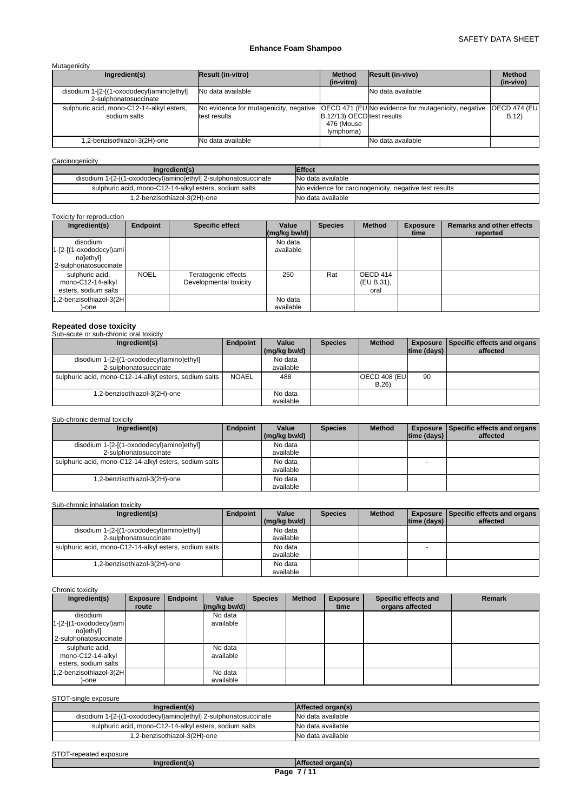| Mutagenicity |                                                                    |                                                        |                                                                      |                                                           |                              |  |  |  |
|--------------|--------------------------------------------------------------------|--------------------------------------------------------|----------------------------------------------------------------------|-----------------------------------------------------------|------------------------------|--|--|--|
|              | Ingredient(s)                                                      | <b>Result (in-vitro)</b>                               | <b>Method</b><br>(in-vitro)                                          | Result (in-vivo)                                          | <b>Method</b><br>(in-vivo)   |  |  |  |
|              | disodium 1-[2-[(1-oxododecyl)amino]ethyl]<br>2-sulphonatosuccinate | No data available                                      |                                                                      | No data available                                         |                              |  |  |  |
|              | sulphuric acid, mono-C12-14-alkyl esters,<br>sodium salts          | No evidence for mutagenicity, negative<br>test results | <b>B.12/13) OECD</b> test results<br>476 (Mouse<br>( <i>lymphoma</i> | <b>OECD 471 (EUNo evidence for mutagenicity, negative</b> | <b>OECD 474 (EUI</b><br>B.12 |  |  |  |
|              | 1,2-benzisothiazol-3(2H)-one                                       | No data available                                      |                                                                      | No data available                                         |                              |  |  |  |

# **Carcinogenicity**

| Ingredient(s)                                                   | <b>Effect</b>                                          |
|-----------------------------------------------------------------|--------------------------------------------------------|
| disodium 1-[2-[(1-oxododecyl)amino]ethyl] 2-sulphonatosuccinate | No data available                                      |
| sulphuric acid, mono-C12-14-alkyl esters, sodium salts          | No evidence for carcinogenicity, negative test results |
| 1,2-benzisothiazol-3(2H)-one                                    | No data available                                      |

# Toxicity for reproduction

| Ingredient(s)                                                               | <b>Endpoint</b> | <b>Specific effect</b>                        | Value<br>$\left \frac{\text{mg}}{\text{kg}}\right $ bw/d) | <b>Species</b> | <b>Method</b>                  | <b>Exposure</b><br>time | <b>Remarks and other effects</b><br>reported |
|-----------------------------------------------------------------------------|-----------------|-----------------------------------------------|-----------------------------------------------------------|----------------|--------------------------------|-------------------------|----------------------------------------------|
| disodium<br>$1-[2-[1-oxododecyl)ami]$<br>nolethyll<br>2-sulphonatosuccinate |                 |                                               | No data<br>available                                      |                |                                |                         |                                              |
| sulphuric acid,<br>mono-C12-14-alkyl<br>esters, sodium salts                | <b>NOEL</b>     | Teratogenic effects<br>Developmental toxicity | 250                                                       | Rat            | OECD 414<br>(EU B.31),<br>oral |                         |                                              |
| 1,2-benzisothiazol-3(2H<br>)-one                                            |                 |                                               | No data<br>available                                      |                |                                |                         |                                              |

# **Repeated dose toxicity** Sub-acute or sub-chronic oral toxicity

| <b>SUD-ACTIG OF SUD-CHIPHIC ORDINATORY</b>             |                 |              |                |               |                    |                                             |
|--------------------------------------------------------|-----------------|--------------|----------------|---------------|--------------------|---------------------------------------------|
| Ingredient(s)                                          | <b>Endpoint</b> | Value        | <b>Species</b> | <b>Method</b> |                    | <b>Exposure Specific effects and organs</b> |
|                                                        |                 | (mg/kg bw/d) |                |               | $ time$ (days) $ $ | affected                                    |
| disodium 1-[2-[(1-oxododecyl)amino]ethyl]              |                 | No data      |                |               |                    |                                             |
| 2-sulphonatosuccinate                                  |                 | available    |                |               |                    |                                             |
| sulphuric acid, mono-C12-14-alkyl esters, sodium salts | <b>NOAEL</b>    | 488          |                | OECD 408 (EU  | 90                 |                                             |
|                                                        |                 |              |                | B.26          |                    |                                             |
| 1,2-benzisothiazol-3(2H)-one                           |                 | No data      |                |               |                    |                                             |
|                                                        |                 | available    |                |               |                    |                                             |

# Sub-chronic dermal toxicity

| Ingredient(s)                                                      | <b>Endpoint</b> | Value                | <b>Species</b> | <b>Method</b> |                    | <b>Exposure Specific effects and organs</b> |
|--------------------------------------------------------------------|-----------------|----------------------|----------------|---------------|--------------------|---------------------------------------------|
|                                                                    |                 | (mg/kg bw/d)         |                |               | $ time$ (days) $ $ | affected                                    |
| disodium 1-[2-[(1-oxododecyl)amino]ethyl]<br>2-sulphonatosuccinate |                 | No data<br>available |                |               |                    |                                             |
| sulphuric acid, mono-C12-14-alkyl esters, sodium salts             |                 | No data<br>available |                |               |                    |                                             |
| 1,2-benzisothiazol-3(2H)-one                                       |                 | No data<br>available |                |               |                    |                                             |

# Sub-chronic inhalation toxicity

| Ingredient(s)                                          | Endpoint | Value        | <b>Species</b> | <b>Method</b> |                          | <b>Exposure   Specific effects and organs  </b> |
|--------------------------------------------------------|----------|--------------|----------------|---------------|--------------------------|-------------------------------------------------|
|                                                        |          | (mg/kg bw/d) |                |               | $ time$ (days) $ $       | affected                                        |
| disodium 1-[2-[(1-oxododecyl)amino]ethyl]              |          | No data      |                |               |                          |                                                 |
| 2-sulphonatosuccinate                                  |          | available    |                |               |                          |                                                 |
| sulphuric acid, mono-C12-14-alkyl esters, sodium salts |          | No data      |                |               | $\overline{\phantom{0}}$ |                                                 |
|                                                        |          | available    |                |               |                          |                                                 |
| 1,2-benzisothiazol-3(2H)-one                           |          | No data      |                |               |                          |                                                 |
|                                                        |          | available    |                |               |                          |                                                 |

### Chronic toxicity

| Ingredient(s)                                                               | <b>Exposure</b><br>route | Endpoint | Value<br>$\left \frac{\text{mg}}{\text{kg}}\right $ bw/d) | <b>Species</b> | <b>Method</b> | <b>Exposure</b><br>time | Specific effects and<br>organs affected | <b>Remark</b> |
|-----------------------------------------------------------------------------|--------------------------|----------|-----------------------------------------------------------|----------------|---------------|-------------------------|-----------------------------------------|---------------|
| disodium<br>$1-[2-[1-oxododecyl)ami]$<br>nolethyll<br>2-sulphonatosuccinate |                          |          | No data<br>available                                      |                |               |                         |                                         |               |
| sulphuric acid,<br>mono-C12-14-alkyl<br>esters, sodium salts                |                          |          | No data<br>available                                      |                |               |                         |                                         |               |
| 1,2-benzisothiazol-3(2H<br>-one                                             |                          |          | No data<br>available                                      |                |               |                         |                                         |               |

# STOT-single exposure

| Ingredient(s)                                                   | Affected organ(s) |
|-----------------------------------------------------------------|-------------------|
| disodium 1-[2-[(1-oxododecyl)amino]ethyl] 2-sulphonatosuccinate | No data available |
| sulphuric acid, mono-C12-14-alkyl esters, sodium salts          | No data available |
| 1,2-benzisothiazol-3(2H)-one                                    | No data available |

# STOT-repeated exposure<br> **Ingredient(s)**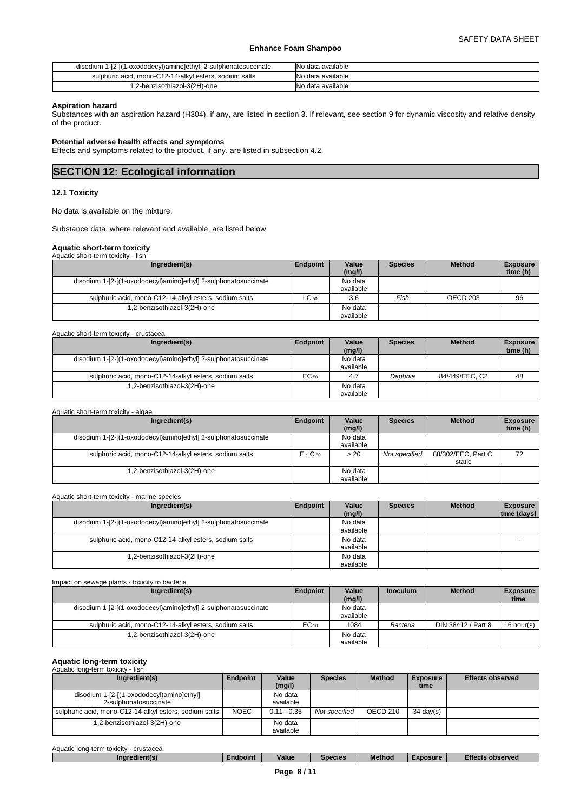| disodium 1-[2-[(1-oxododecyl)amino]ethyl] 2-sulphonatosuccinate | No data available |
|-----------------------------------------------------------------|-------------------|
| sulphuric acid, mono-C12-14-alkyl esters, sodium salts          | No data available |
| .2-benzisothiazol-3(2H)-one                                     | No data available |

# **Aspiration hazard**

Substances with an aspiration hazard (H304), if any, are listed in section 3. If relevant, see section 9 for dynamic viscosity and relative density of the product.

# **Potential adverse health effects and symptoms**

Effects and symptoms related to the product, if any, are listed in subsection 4.2.

# **SECTION 12: Ecological information**

# **12.1 Toxicity**

No data is available on the mixture.

Substance data, where relevant and available, are listed below

# **Aquatic short-term toxicity**

| Aquatic short-term toxicity - fish                              |           |                      |                |               |                             |
|-----------------------------------------------------------------|-----------|----------------------|----------------|---------------|-----------------------------|
| Ingredient(s)                                                   | Endpoint  | Value<br>(mg/l)      | <b>Species</b> | <b>Method</b> | <b>Exposure</b><br>time (h) |
| disodium 1-[2-[(1-oxododecyl)amino]ethyl] 2-sulphonatosuccinate |           | No data<br>available |                |               |                             |
| sulphuric acid, mono-C12-14-alkyl esters, sodium salts          | $LC_{50}$ | 3.6                  | Fish           | OECD 203      | 96                          |
| .2-benzisothiazol-3(2H)-one                                     |           | No data<br>available |                |               |                             |

| Ingredient(s)                                                   | Endpoint | Value     | <b>Species</b> | <b>Method</b>  | <b>Exposure</b> |
|-----------------------------------------------------------------|----------|-----------|----------------|----------------|-----------------|
|                                                                 |          | (mg/l)    |                |                | time (h)        |
| disodium 1-[2-[(1-oxododecyl)amino]ethyl] 2-sulphonatosuccinate |          | No data   |                |                |                 |
|                                                                 |          | available |                |                |                 |
| sulphuric acid, mono-C12-14-alkyl esters, sodium salts          | EC 50    | 4.7       | Daphnia        | 84/449/EEC, C2 | 48              |
| .2-benzisothiazol-3(2H)-one                                     |          | No data   |                |                |                 |
|                                                                 |          | available |                |                |                 |

| Aquatic short-term toxicity - algae                             |           |                      |                |                               |                             |
|-----------------------------------------------------------------|-----------|----------------------|----------------|-------------------------------|-----------------------------|
| Ingredient(s)                                                   | Endpoint  | Value<br>(mg/l)      | <b>Species</b> | <b>Method</b>                 | <b>Exposure</b><br>time (h) |
| disodium 1-[2-[(1-oxododecyl)amino]ethyl] 2-sulphonatosuccinate |           | No data<br>available |                |                               |                             |
| sulphuric acid, mono-C12-14-alkyl esters, sodium salts          | $E1$ C 50 | > 20                 | Not specified  | 88/302/EEC, Part C,<br>static | 72                          |
| .2-benzisothiazol-3(2H)-one                                     |           | No data<br>available |                |                               |                             |

### Aquatic short-term toxicity - marine species **Ingredient(s) Endpoint Value** Species **(mg/l) Method** Exposure **time (days)**  disodium 1-[2-[(1-oxododecyl)amino]ethyl] 2-sulphonatosuccinate available sulphuric acid, mono-C12-14-alkyl esters, sodium salts No data available - 1,2-benzisothiazol-3(2H)-one No data available

| Impact on sewage plants - toxicity to bacteria                  |           |                      |                 |                    |                         |
|-----------------------------------------------------------------|-----------|----------------------|-----------------|--------------------|-------------------------|
| Ingredient(s)                                                   | Endpoint  | Value<br>(mg/l)      | <b>Inoculum</b> | <b>Method</b>      | <b>Exposure</b><br>time |
| disodium 1-[2-[(1-oxododecyl)amino]ethyl] 2-sulphonatosuccinate |           | No data<br>available |                 |                    |                         |
| sulphuric acid, mono-C12-14-alkyl esters, sodium salts          | $EC_{10}$ | 1084                 | Bacteria        | DIN 38412 / Part 8 | 16 hour(s)              |
| .2-benzisothiazol-3(2H)-one                                     |           | No data<br>available |                 |                    |                         |

# **Aquatic long-term toxicity**

| Aquatic long-term toxicity - fish<br>Ingredient(s)                 | Endpoint    | Value<br>(mg/l)      | <b>Species</b> | <b>Method</b> | <b>Exposure</b><br>time | <b>Effects observed</b> |
|--------------------------------------------------------------------|-------------|----------------------|----------------|---------------|-------------------------|-------------------------|
| disodium 1-[2-[(1-oxododecyl)amino]ethyl]<br>2-sulphonatosuccinate |             | No data<br>available |                |               |                         |                         |
| sulphuric acid, mono-C12-14-alkyl esters, sodium salts             | <b>NOEC</b> | $0.11 - 0.35$        | Not specified  | OECD 210      | $34 \text{ day}(s)$     |                         |
| 1,2-benzisothiazol-3(2H)-one                                       |             | No data<br>available |                |               |                         |                         |

| Aquatiu<br>-term<br>crustacea<br>toxicity<br>⊦lona- |          |       |                |        |                              |                       |  |
|-----------------------------------------------------|----------|-------|----------------|--------|------------------------------|-----------------------|--|
| Ingredient(s)                                       | ∠ndpoint | Value | <b>Species</b> | Method | osure<br><b>AND PROPERTY</b> | Effect.<br>s observeo |  |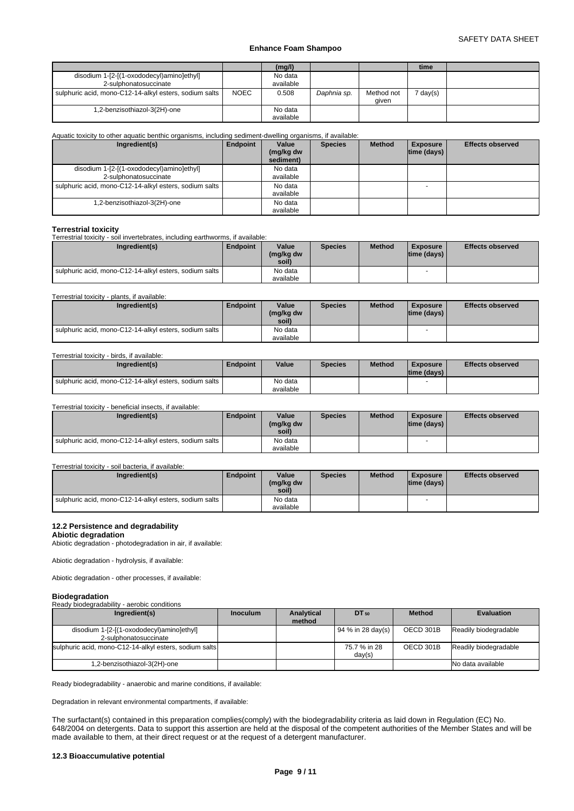|                                                                    |             | (mg/l)               |             |                     | time   |  |
|--------------------------------------------------------------------|-------------|----------------------|-------------|---------------------|--------|--|
| disodium 1-[2-[(1-oxododecyl)amino]ethyl]<br>2-sulphonatosuccinate |             | No data<br>available |             |                     |        |  |
| sulphuric acid, mono-C12-14-alkyl esters, sodium salts             | <b>NOEC</b> | 0.508                | Daphnia sp. | Method not<br>qiven | day(s) |  |
| 1,2-benzisothiazol-3(2H)-one                                       |             | No data<br>available |             |                     |        |  |

# Aquatic toxicity to other aquatic benthic organisms, including sediment-dwelling organisms, if available:

| Ingredient(s)                                          | Endpoint | Value<br>(mg/kg dw<br>sediment) | <b>Species</b> | <b>Method</b> | <b>Exposure</b><br> time (days) | <b>Effects observed</b> |
|--------------------------------------------------------|----------|---------------------------------|----------------|---------------|---------------------------------|-------------------------|
| disodium 1-[2-[(1-oxododecyl)amino]ethyl]              |          | No data                         |                |               |                                 |                         |
| 2-sulphonatosuccinate                                  |          | available                       |                |               |                                 |                         |
| sulphuric acid, mono-C12-14-alkyl esters, sodium salts |          | No data                         |                |               |                                 |                         |
|                                                        |          | available                       |                |               |                                 |                         |
| 1,2-benzisothiazol-3(2H)-one                           |          | No data                         |                |               |                                 |                         |
|                                                        |          | available                       |                |               |                                 |                         |

# **Terrestrial toxicity**

| Terrestrial toxicity<br>Terrestrial toxicity - soil invertebrates, including earthworms, if available: |                 |                             |                |               |                                       |                         |  |  |
|--------------------------------------------------------------------------------------------------------|-----------------|-----------------------------|----------------|---------------|---------------------------------------|-------------------------|--|--|
| Ingredient(s)                                                                                          | <b>Endpoint</b> | Value<br>(mg/kg dw<br>soil) | <b>Species</b> | <b>Method</b> | <b>Exposure</b><br>$ time$ (days) $ $ | <b>Effects observed</b> |  |  |
| sulphuric acid, mono-C12-14-alkyl esters, sodium salts                                                 |                 | No data<br>available        |                |               |                                       |                         |  |  |

# Terrestrial toxicity - plants, if available:

| Ingredient(s)                                          | Endpoint | Value<br>(mg/kg dw<br>soil) | <b>Species</b> | <b>Method</b> | Exposure<br>$ time$ (days) $ $ | <b>Effects observed</b> |
|--------------------------------------------------------|----------|-----------------------------|----------------|---------------|--------------------------------|-------------------------|
| sulphuric acid, mono-C12-14-alkyl esters, sodium salts |          | No data                     |                |               |                                |                         |
|                                                        |          | available                   |                |               |                                |                         |

### Terrestrial toxicity - birds, if available:

| Ingredient(s)                                              | Endpoint | Value                | <b>Species</b> | <b>Method</b> | <b>Exposure</b><br>Itime (davs) I | <b>Effects observed</b> |
|------------------------------------------------------------|----------|----------------------|----------------|---------------|-----------------------------------|-------------------------|
| I sulphuric acid, mono-C12-14-alkyl esters, sodium salts I |          | No data<br>available |                |               |                                   |                         |

### Terrestrial toxicity - beneficial insects, if available:

| Ingredient(s)                                          | <b>Endpoint</b> | Value<br>(mg/kg dw<br>soil) | <b>Species</b> | <b>Method</b> | <b>Exposure</b><br>$ time$ (days) $ $ | <b>Effects observed</b> |
|--------------------------------------------------------|-----------------|-----------------------------|----------------|---------------|---------------------------------------|-------------------------|
| sulphuric acid, mono-C12-14-alkyl esters, sodium salts |                 | No data                     |                |               |                                       |                         |
|                                                        |                 | available                   |                |               |                                       |                         |

### Terrestrial toxicity - soil bacteria, if available:

| Ingredient(s)                                          | <b>Endpoint</b> | Value<br>(mg/kg dw<br>soil) | <b>Species</b> | <b>Method</b> | <b>Exposure</b><br> time (days) | <b>Effects observed</b> |
|--------------------------------------------------------|-----------------|-----------------------------|----------------|---------------|---------------------------------|-------------------------|
| sulphuric acid, mono-C12-14-alkyl esters, sodium salts |                 | No data                     |                |               |                                 |                         |
|                                                        |                 | available                   |                |               |                                 |                         |

### **12.2 Persistence and degradability**

### **Abiotic degradation**

Abiotic degradation - photodegradation in air, if available:

Abiotic degradation - hydrolysis, if available:

Abiotic degradation - other processes, if available:

### **Biodegradation**

# Ready biodegradability - aerobic conditions

| Ingredient(s)                                                      | <b>Inoculum</b> | Analytical<br>method | DT 50                  | <b>Method</b> | <b>Evaluation</b>     |
|--------------------------------------------------------------------|-----------------|----------------------|------------------------|---------------|-----------------------|
| disodium 1-[2-[(1-oxododecyl)amino]ethyl]<br>2-sulphonatosuccinate |                 |                      | $194 \%$ in 28 day(s)  | OECD 301B     | Readily biodegradable |
| sulphuric acid, mono-C12-14-alkyl esters, sodium salts             |                 |                      | 75.7 % in 28<br>day(s) | OECD 301B     | Readily biodegradable |
| 1,2-benzisothiazol-3(2H)-one                                       |                 |                      |                        |               | No data available     |

Ready biodegradability - anaerobic and marine conditions, if available:

Degradation in relevant environmental compartments, if available:

The surfactant(s) contained in this preparation complies(comply) with the biodegradability criteria as laid down in Regulation (EC) No. 648/2004 on detergents. Data to support this assertion are held at the disposal of the competent authorities of the Member States and will be made available to them, at their direct request or at the request of a detergent manufacturer.

# **12.3 Bioaccumulative potential**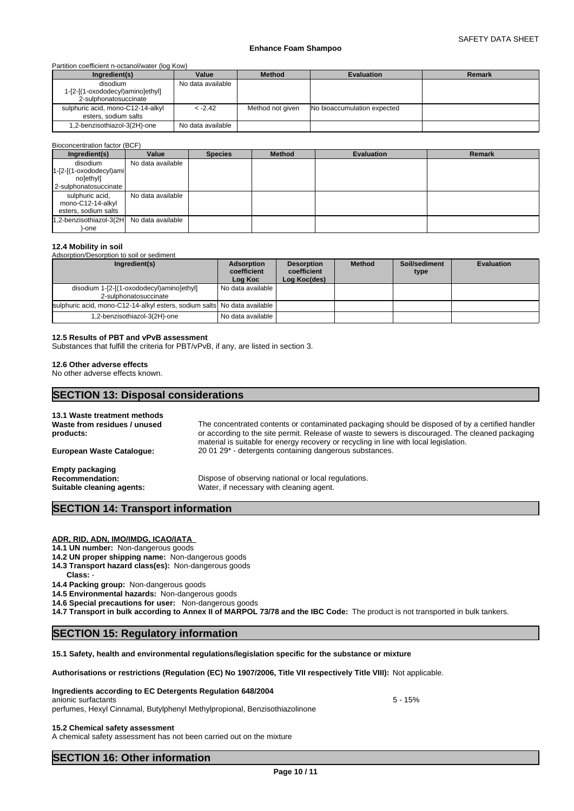### Partition coefficient n-octanol/water (log Kow)

| Ingredient(s)                                                         | Value             | <b>Method</b>    | <b>Evaluation</b>           | <b>Remark</b> |
|-----------------------------------------------------------------------|-------------------|------------------|-----------------------------|---------------|
| disodium<br>1-[2-[(1-oxododecyl)amino]ethyl]<br>2-sulphonatosuccinate | No data available |                  |                             |               |
| sulphuric acid, mono-C12-14-alkyl<br>esters, sodium salts             | $< -2.42$         | Method not given | No bioaccumulation expected |               |
| 1,2-benzisothiazol-3(2H)-one                                          | No data available |                  |                             |               |

| Bioconcentration factor (BCF)                                               |                   |                |               |                   |               |
|-----------------------------------------------------------------------------|-------------------|----------------|---------------|-------------------|---------------|
| Ingredient(s)                                                               | Value             | <b>Species</b> | <b>Method</b> | <b>Evaluation</b> | <b>Remark</b> |
| disodium<br>$1-[2-[1-oxododecyl]$ ami<br>nolethyll<br>2-sulphonatosuccinate | No data available |                |               |                   |               |
| sulphuric acid,<br>mono-C12-14-alkyl<br>esters, sodium salts                | No data available |                |               |                   |               |
| 1,2-benzisothiazol-3(2H No data available<br>)-one                          |                   |                |               |                   |               |

## **12.4 Mobility in soil**

Adsorption/Desorption to soil or sediment

| Ingredient(s)                                                            | Adsorption<br>coefficient<br>Log Koc | <b>Desorption</b><br>coefficient<br>Log Koc(des) | <b>Method</b> | Soil/sediment<br>type | <b>Evaluation</b> |
|--------------------------------------------------------------------------|--------------------------------------|--------------------------------------------------|---------------|-----------------------|-------------------|
| disodium 1-[2-[(1-oxododecyl)amino]ethyl]<br>2-sulphonatosuccinate       | No data available                    |                                                  |               |                       |                   |
| sulphuric acid, mono-C12-14-alkyl esters, sodium salts No data available |                                      |                                                  |               |                       |                   |
| 1,2-benzisothiazol-3(2H)-one                                             | No data available                    |                                                  |               |                       |                   |

### **12.5 Results of PBT and vPvB assessment**

Substances that fulfill the criteria for PBT/vPvB, if any, are listed in section 3.

### **12.6 Other adverse effects**

No other adverse effects known.

# **SECTION 13: Disposal considerations 13.1 Waste treatment methods Waste from residues / unused products:** The concentrated contents or contaminated packaging should be disposed of by a certified handler or according to the site permit. Release of waste to sewers is discouraged. The cleaned packaging material is suitable for energy recovery or recycling in line with local legislation. **European Waste Catalogue:** 20 01 29\* - detergents containing dangerous substances. **Empty packaging Recommendation:** Dispose of observing national or local regulations.<br> **Suitable cleaning agents:** Water, if necessary with cleaning agent.

Water, if necessary with cleaning agent.

# **SECTION 14: Transport information**

# **ADR, RID, ADN, IMO/IMDG, ICAO/IATA**

**14.1 UN number:** Non-dangerous goods

- **14.2 UN proper shipping name:** Non-dangerous goods
- **14.3 Transport hazard class(es):** Non-dangerous goods
- **Class: 14.4 Packing group:** Non-dangerous goods
- **14.5 Environmental hazards:** Non-dangerous goods

**14.6 Special precautions for user:** Non-dangerous goods

**14.7 Transport in bulk according to Annex II of MARPOL 73/78 and the IBC Code:** The product is not transported in bulk tankers.

# **SECTION 15: Regulatory information**

# **15.1 Safety, health and environmental regulations/legislation specific for the substance or mixture**

**Authorisations or restrictions (Regulation (EC) No 1907/2006, Title VII respectively Title VIII):** Not applicable.

### **Ingredients according to EC Detergents Regulation 648/2004**

anionic surfactants  $\sim$  5 - 15%

perfumes, Hexyl Cinnamal, Butylphenyl Methylpropional, Benzisothiazolinone

# **15.2 Chemical safety assessment**

A chemical safety assessment has not been carried out on the mixture

# **SECTION 16: Other information**